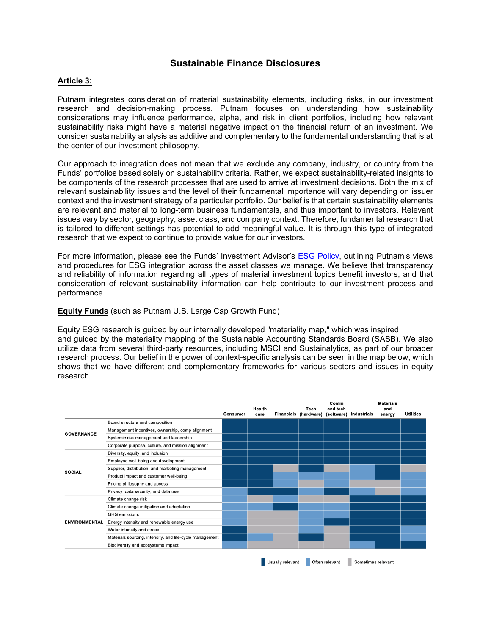## **Sustainable Finance Disclosures**

## **Article 3:**

Putnam integrates consideration of material sustainability elements, including risks, in our investment research and decision-making process. Putnam focuses on understanding how sustainability considerations may influence performance, alpha, and risk in client portfolios, including how relevant sustainability risks might have a material negative impact on the financial return of an investment. We consider sustainability analysis as additive and complementary to the fundamental understanding that is at the center of our investment philosophy.

Our approach to integration does not mean that we exclude any company, industry, or country from the Funds' portfolios based solely on sustainability criteria. Rather, we expect sustainability-related insights to be components of the research processes that are used to arrive at investment decisions. Both the mix of relevant sustainability issues and the level of their fundamental importance will vary depending on issuer context and the investment strategy of a particular portfolio. Our belief is that certain sustainability elements are relevant and material to long-term business fundamentals, and thus important to investors. Relevant issues vary by sector, geography, asset class, and company context. Therefore, fundamental research that is tailored to different settings has potential to add meaningful value. It is through this type of integrated research that we expect to continue to provide value for our investors.

For more information, please see the Funds' Investment Advisor's [ESG Policy,](https://www.putnam.com/literature/pdf/ESG003_IN-752fb062a5dee9704f426ee33d168b96.pdf) outlining Putnam's views and procedures for ESG integration across the asset classes we manage. We believe that transparency and reliability of information regarding all types of material investment topics benefit investors, and that consideration of relevant sustainability information can help contribute to our investment process and performance.

## **Equity Funds** (such as Putnam U.S. Large Cap Growth Fund)

Equity ESG research is guided by our internally developed "materiality map," which was inspired and guided by the materiality mapping of the Sustainable Accounting Standards Board (SASB). We also utilize data from several third-party resources, including MSCI and Sustainalytics, as part of our broader research process. Our belief in the power of context-specific analysis can be seen in the map below, which shows that we have different and complementary frameworks for various sectors and issues in equity research.

|                      |                                                          | Consumer | Health<br>care | Tech<br>Financials (hardware) (software) Industrials | Comm<br>and tech | <b>Materials</b><br>and<br>energy | <b>Utilities</b> |
|----------------------|----------------------------------------------------------|----------|----------------|------------------------------------------------------|------------------|-----------------------------------|------------------|
| <b>GOVERNANCE</b>    | Board structure and composition                          |          |                |                                                      |                  |                                   |                  |
|                      | Management incentives, ownership, comp alignment         |          |                |                                                      |                  |                                   |                  |
|                      | Systemic risk management and leadership                  |          |                |                                                      |                  |                                   |                  |
|                      | Corporate purpose, culture, and mission alignment        |          |                |                                                      |                  |                                   |                  |
| <b>SOCIAL</b>        | Diversity, equity, and inclusion                         |          |                |                                                      |                  |                                   |                  |
|                      | Employee well-being and development                      |          |                |                                                      |                  |                                   |                  |
|                      | Supplier, distribution, and marketing management         |          |                |                                                      |                  |                                   |                  |
|                      | Product impact and customer well-being                   |          |                |                                                      |                  |                                   |                  |
|                      | Pricing philosophy and access                            |          |                |                                                      |                  |                                   |                  |
|                      | Privacy, data security, and data use                     |          |                |                                                      |                  |                                   |                  |
| <b>ENVIRONMENTAL</b> | Climate change risk                                      |          |                |                                                      |                  |                                   |                  |
|                      | Climate change mitigation and adaptation                 |          |                |                                                      |                  |                                   |                  |
|                      | GHG emissions                                            |          |                |                                                      |                  |                                   |                  |
|                      | Energy intensity and renewable energy use                |          |                |                                                      |                  |                                   |                  |
|                      | Water intensity and stress                               |          |                |                                                      |                  |                                   |                  |
|                      | Materials sourcing, intensity, and life-cycle management |          |                |                                                      |                  |                                   |                  |
|                      | Biodiversity and ecosystems impact                       |          |                |                                                      |                  |                                   |                  |

Usually relevant Often relevant Sometimes relevant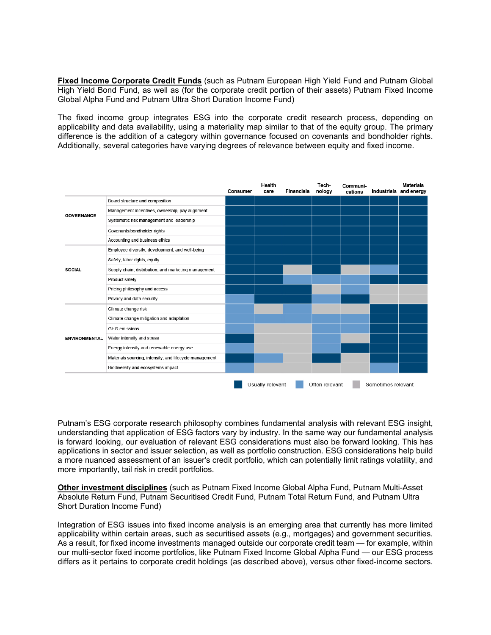**Fixed Income Corporate Credit Funds** (such as Putnam European High Yield Fund and Putnam Global High Yield Bond Fund, as well as (for the corporate credit portion of their assets) Putnam Fixed Income Global Alpha Fund and Putnam Ultra Short Duration Income Fund)

The fixed income group integrates ESG into the corporate credit research process, depending on applicability and data availability, using a materiality map similar to that of the equity group. The primary difference is the addition of a category within governance focused on covenants and bondholder rights. Additionally, several categories have varying degrees of relevance between equity and fixed income.

|                      |                                                         | Consumer | Health<br>care   | <b>Financials</b> | Tech-<br>nology | Communi-<br>cations |                    | <b>Materials</b><br>Industrials and energy |
|----------------------|---------------------------------------------------------|----------|------------------|-------------------|-----------------|---------------------|--------------------|--------------------------------------------|
| <b>GOVERNANCE</b>    | Board structure and composition                         |          |                  |                   |                 |                     |                    |                                            |
|                      | Management incentives, ownership, pay alignment         |          |                  |                   |                 |                     |                    |                                            |
|                      | Systematic risk management and leadership               |          |                  |                   |                 |                     |                    |                                            |
|                      | Covenants/bondholder rights                             |          |                  |                   |                 |                     |                    |                                            |
|                      | Accounting and business ethics                          |          |                  |                   |                 |                     |                    |                                            |
| <b>SOCIAL</b>        | Employee diversity, development, and well-being         |          |                  |                   |                 |                     |                    |                                            |
|                      | Safety, labor rights, equity                            |          |                  |                   |                 |                     |                    |                                            |
|                      | Supply chain, distribution, and marketing management    |          |                  |                   |                 |                     |                    |                                            |
|                      | Product safety                                          |          |                  |                   |                 |                     |                    |                                            |
|                      | Pricing philosophy and access                           |          |                  |                   |                 |                     |                    |                                            |
|                      | Privacy and data security                               |          |                  |                   |                 |                     |                    |                                            |
| <b>ENVIRONMENTAL</b> | Climate change risk                                     |          |                  |                   |                 |                     |                    |                                            |
|                      | Climate change mitigation and adaptation                |          |                  |                   |                 |                     |                    |                                            |
|                      | <b>GHG emissions</b>                                    |          |                  |                   |                 |                     |                    |                                            |
|                      | Water intensity and stress                              |          |                  |                   |                 |                     |                    |                                            |
|                      | Energy intensity and renewable energy use               |          |                  |                   |                 |                     |                    |                                            |
|                      | Materials sourcing, intensity, and lifecycle management |          |                  |                   |                 |                     |                    |                                            |
|                      | Biodiversity and ecosystems impact                      |          |                  |                   |                 |                     |                    |                                            |
|                      |                                                         |          | Usually relevant |                   | Often relevant  |                     | Sometimes relevant |                                            |

Putnam's ESG corporate research philosophy combines fundamental analysis with relevant ESG insight, understanding that application of ESG factors vary by industry. In the same way our fundamental analysis is forward looking, our evaluation of relevant ESG considerations must also be forward looking. This has applications in sector and issuer selection, as well as portfolio construction. ESG considerations help build a more nuanced assessment of an issuer's credit portfolio, which can potentially limit ratings volatility, and more importantly, tail risk in credit portfolios.

**Other investment disciplines** (such as Putnam Fixed Income Global Alpha Fund, Putnam Multi-Asset Absolute Return Fund, Putnam Securitised Credit Fund, Putnam Total Return Fund, and Putnam Ultra Short Duration Income Fund)

Integration of ESG issues into fixed income analysis is an emerging area that currently has more limited applicability within certain areas, such as securitised assets (e.g., mortgages) and government securities. As a result, for fixed income investments managed outside our corporate credit team — for example, within our multi-sector fixed income portfolios, like Putnam Fixed Income Global Alpha Fund — our ESG process differs as it pertains to corporate credit holdings (as described above), versus other fixed-income sectors.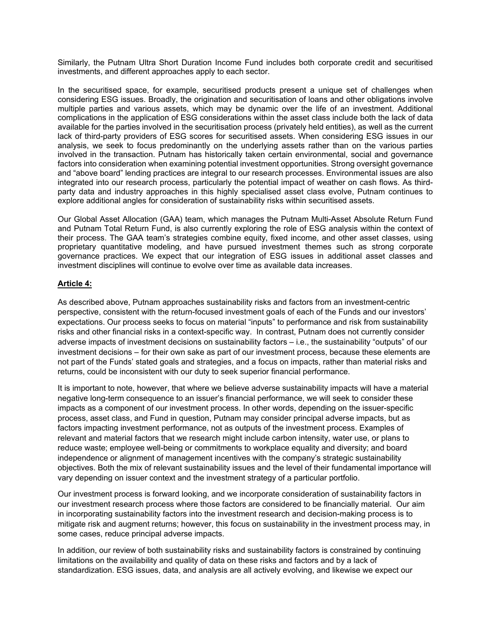Similarly, the Putnam Ultra Short Duration Income Fund includes both corporate credit and securitised investments, and different approaches apply to each sector.

In the securitised space, for example, securitised products present a unique set of challenges when considering ESG issues. Broadly, the origination and securitisation of loans and other obligations involve multiple parties and various assets, which may be dynamic over the life of an investment. Additional complications in the application of ESG considerations within the asset class include both the lack of data available for the parties involved in the securitisation process (privately held entities), as well as the current lack of third-party providers of ESG scores for securitised assets. When considering ESG issues in our analysis, we seek to focus predominantly on the underlying assets rather than on the various parties involved in the transaction. Putnam has historically taken certain environmental, social and governance factors into consideration when examining potential investment opportunities. Strong oversight governance and "above board" lending practices are integral to our research processes. Environmental issues are also integrated into our research process, particularly the potential impact of weather on cash flows. As thirdparty data and industry approaches in this highly specialised asset class evolve, Putnam continues to explore additional angles for consideration of sustainability risks within securitised assets.

Our Global Asset Allocation (GAA) team, which manages the Putnam Multi-Asset Absolute Return Fund and Putnam Total Return Fund, is also currently exploring the role of ESG analysis within the context of their process. The GAA team's strategies combine equity, fixed income, and other asset classes, using proprietary quantitative modeling, and have pursued investment themes such as strong corporate governance practices. We expect that our integration of ESG issues in additional asset classes and investment disciplines will continue to evolve over time as available data increases.

## **Article 4:**

As described above, Putnam approaches sustainability risks and factors from an investment-centric perspective, consistent with the return-focused investment goals of each of the Funds and our investors' expectations. Our process seeks to focus on material "inputs" to performance and risk from sustainability risks and other financial risks in a context-specific way. In contrast, Putnam does not currently consider adverse impacts of investment decisions on sustainability factors – i.e., the sustainability "outputs" of our investment decisions – for their own sake as part of our investment process, because these elements are not part of the Funds' stated goals and strategies, and a focus on impacts, rather than material risks and returns, could be inconsistent with our duty to seek superior financial performance.

It is important to note, however, that where we believe adverse sustainability impacts will have a material negative long-term consequence to an issuer's financial performance, we will seek to consider these impacts as a component of our investment process. In other words, depending on the issuer-specific process, asset class, and Fund in question, Putnam may consider principal adverse impacts, but as factors impacting investment performance, not as outputs of the investment process. Examples of relevant and material factors that we research might include carbon intensity, water use, or plans to reduce waste; employee well-being or commitments to workplace equality and diversity; and board independence or alignment of management incentives with the company's strategic sustainability objectives. Both the mix of relevant sustainability issues and the level of their fundamental importance will vary depending on issuer context and the investment strategy of a particular portfolio.

Our investment process is forward looking, and we incorporate consideration of sustainability factors in our investment research process where those factors are considered to be financially material. Our aim in incorporating sustainability factors into the investment research and decision-making process is to mitigate risk and augment returns; however, this focus on sustainability in the investment process may, in some cases, reduce principal adverse impacts.

In addition, our review of both sustainability risks and sustainability factors is constrained by continuing limitations on the availability and quality of data on these risks and factors and by a lack of standardization. ESG issues, data, and analysis are all actively evolving, and likewise we expect our